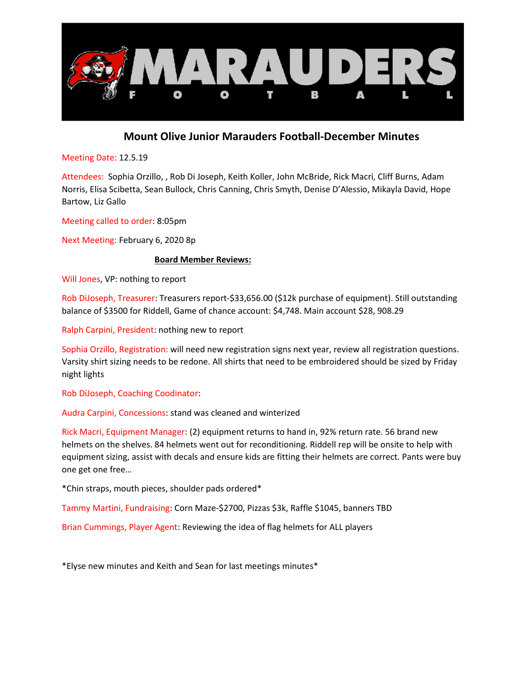

## Mount Olive Junior Marauders Football-December Minutes

Meeting Date: 12.5.19

Attendees: Sophia Orzillo, , Rob Di Joseph, Keith Koller, John McBride, Rick Macri, Cliff Burns, Adam Norris, Elisa Scibetta, Sean Bullock, Chris Canning, Chris Smyth, Denise D'Alessio, Mikayla David, Hope Bartow, Liz Gallo

Meeting called to order: 8:05pm

Next Meeting: February 6, 2020 8p

## Board Member Reviews:

Will Jones, VP: nothing to report

Rob DiJoseph, Treasurer: Treasurers report-\$33,656.00 (\$12k purchase of equipment). Still outstanding balance of \$3500 for Riddell, Game of chance account: \$4,748. Main account \$28, 908.29

Ralph Carpini, President: nothing new to report

Sophia Orzillo, Registration: will need new registration signs next year, review all registration questions. Varsity shirt sizing needs to be redone. All shirts that need to be embroidered should be sized by Friday night lights

Rob DiJoseph, Coaching Coodinator:

Audra Carpini, Concessions: stand was cleaned and winterized

Rick Macri, Equipment Manager: (2) equipment returns to hand in, 92% return rate. 56 brand new helmets on the shelves. 84 helmets went out for reconditioning. Riddell rep will be onsite to help with equipment sizing, assist with decals and ensure kids are fitting their helmets are correct. Pants were buy one get one free…

\*Chin straps, mouth pieces, shoulder pads ordered\*

Tammy Martini, Fundraising: Corn Maze-\$2700, Pizzas \$3k, Raffle \$1045, banners TBD

Brian Cummings, Player Agent: Reviewing the idea of flag helmets for ALL players

\*Elyse new minutes and Keith and Sean for last meetings minutes\*